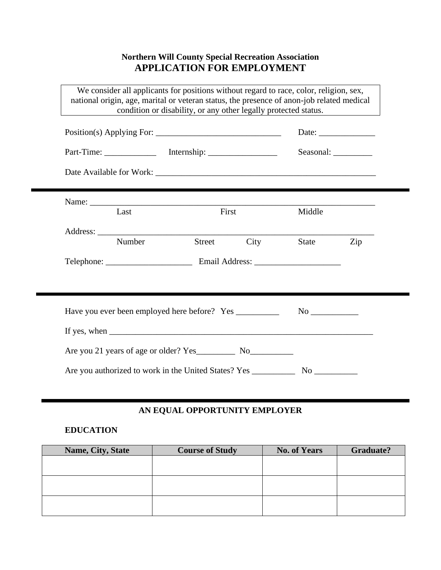# **Northern Will County Special Recreation Association APPLICATION FOR EMPLOYMENT**

| We consider all applicants for positions without regard to race, color, religion, sex,<br>national origin, age, marital or veteran status, the presence of anon-job related medical | condition or disability, or any other legally protected status. |      |           |                                                          |
|-------------------------------------------------------------------------------------------------------------------------------------------------------------------------------------|-----------------------------------------------------------------|------|-----------|----------------------------------------------------------|
|                                                                                                                                                                                     |                                                                 |      |           | Date: $\frac{1}{\sqrt{1-\frac{1}{2}} \cdot \frac{1}{2}}$ |
|                                                                                                                                                                                     |                                                                 |      | Seasonal: |                                                          |
|                                                                                                                                                                                     |                                                                 |      |           |                                                          |
|                                                                                                                                                                                     |                                                                 |      |           |                                                          |
| Last                                                                                                                                                                                | First                                                           |      | Middle    |                                                          |
| Number                                                                                                                                                                              | <b>Street</b>                                                   | City | State     | Zip                                                      |
|                                                                                                                                                                                     |                                                                 |      |           |                                                          |
|                                                                                                                                                                                     |                                                                 |      |           |                                                          |
| Have you ever been employed here before? Yes ____________                                                                                                                           |                                                                 |      |           |                                                          |
|                                                                                                                                                                                     |                                                                 |      |           |                                                          |
|                                                                                                                                                                                     |                                                                 |      |           |                                                          |
|                                                                                                                                                                                     |                                                                 |      |           |                                                          |

### **AN EQUAL OPPORTUNITY EMPLOYER**

### **EDUCATION**

| Name, City, State | <b>Course of Study</b> | <b>No. of Years</b> | <b>Graduate?</b> |
|-------------------|------------------------|---------------------|------------------|
|                   |                        |                     |                  |
|                   |                        |                     |                  |
|                   |                        |                     |                  |
|                   |                        |                     |                  |
|                   |                        |                     |                  |
|                   |                        |                     |                  |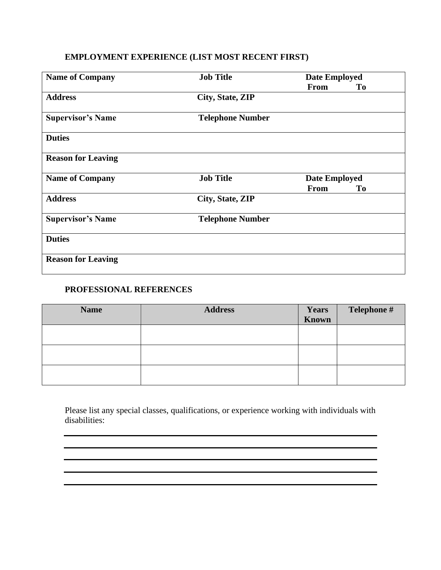# **EMPLOYMENT EXPERIENCE (LIST MOST RECENT FIRST)**

| <b>Name of Company</b>    | <b>Job Title</b>        | <b>Date Employed</b> |    |
|---------------------------|-------------------------|----------------------|----|
|                           |                         | <b>From</b>          | To |
| <b>Address</b>            | City, State, ZIP        |                      |    |
| <b>Supervisor's Name</b>  | <b>Telephone Number</b> |                      |    |
| <b>Duties</b>             |                         |                      |    |
| <b>Reason for Leaving</b> |                         |                      |    |
| <b>Name of Company</b>    | <b>Job Title</b>        | <b>Date Employed</b> |    |
|                           |                         | <b>From</b>          | To |
| <b>Address</b>            | City, State, ZIP        |                      |    |
| <b>Supervisor's Name</b>  | <b>Telephone Number</b> |                      |    |
| <b>Duties</b>             |                         |                      |    |
| <b>Reason for Leaving</b> |                         |                      |    |

#### **PROFESSIONAL REFERENCES**

| <b>Name</b> | <b>Address</b> | <b>Years</b><br><b>Known</b> | Telephone # |
|-------------|----------------|------------------------------|-------------|
|             |                |                              |             |
|             |                |                              |             |
|             |                |                              |             |

Please list any special classes, qualifications, or experience working with individuals with disabilities:

,我们也不能在这里的时候,我们也不能在这里的时候,我们也不能会在这里的时候,我们也不能会在这里的时候,我们也不能会在这里的时候,我们也不能会在这里的时候,我们也